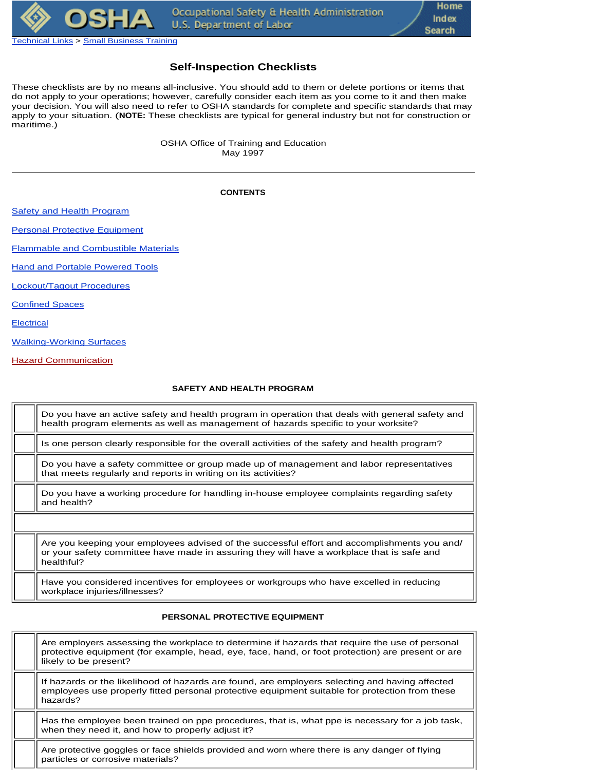

Occupational Safety & Health Administration U.S. Department of Labor

# **Self-Inspection Checklists**

These checklists are by no means all-inclusive. You should add to them or delete portions or items that do not apply to your operations; however, carefully consider each item as you come to it and then make your decision. You will also need to refer to OSHA standards for complete and specific standards that may apply to your situation. (NOTE: These checklists are typical for general industry but not for construction or maritime.)

> OSHA Office of Training and Education May 1997

# **CONTENTS**

Safety and Health Program

**Personal Protective Equipment** 

Flammable and Combustible Materials

**Hand and Portable Powered Tools** 

Lockout/Tagout Procedures

Confined Spaces

**Electrical** 

Walking-Working Surfaces

**Hazard Communication** 

# **SAFETY AND HEALTH PROGRAM**

| Do you have an active safety and health program in operation that deals with general safety and<br>health program elements as well as management of hazards specific to your worksite?                   |
|----------------------------------------------------------------------------------------------------------------------------------------------------------------------------------------------------------|
| Is one person clearly responsible for the overall activities of the safety and health program?                                                                                                           |
| Do you have a safety committee or group made up of management and labor representatives<br>that meets regularly and reports in writing on its activities?                                                |
| Do you have a working procedure for handling in-house employee complaints regarding safety<br>and health?                                                                                                |
|                                                                                                                                                                                                          |
| Are you keeping your employees advised of the successful effort and accomplishments you and/<br>or your safety committee have made in assuring they will have a workplace that is safe and<br>healthful? |
| Have you considered incentives for employees or workgroups who have excelled in reducing<br>workplace injuries/illnesses?                                                                                |
|                                                                                                                                                                                                          |

# **PERSONAL PROTECTIVE EQUIPMENT**

Are employers assessing the workplace to determine if hazards that require the use of personal protective equipment (for example, head, eye, face, hand, or foot protection) are present or are likely to be present?

If hazards or the likelihood of hazards are found, are employers selecting and having affected employees use properly fitted personal protective equipment suitable for protection from these hazards?

Has the employee been trained on ppe procedures, that is, what ppe is necessary for a job task, when they need it, and how to properly adjust it?

Are protective goggles or face shields provided and worn where there is any danger of flying particles or corrosive materials?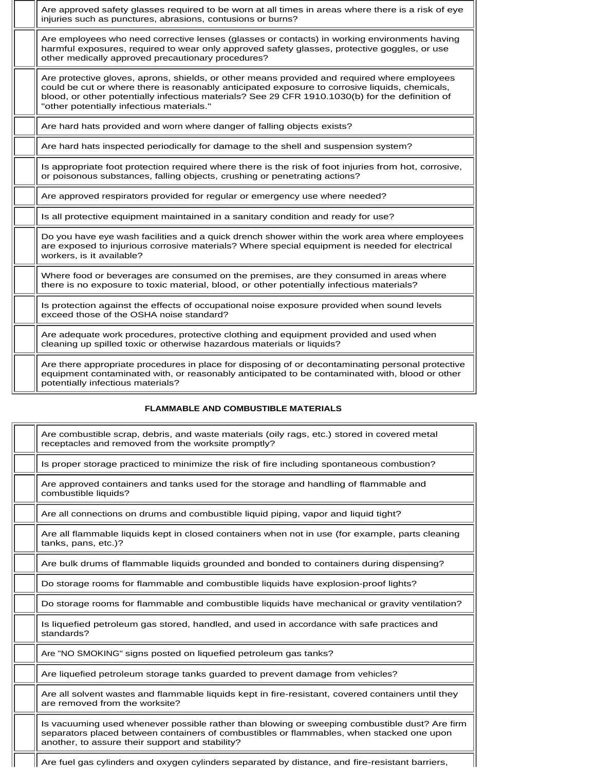Are approved safety glasses required to be worn at all times in areas where there is a risk of eye injuries such as punctures, abrasions, contusions or burns?

Are employees who need corrective lenses (glasses or contacts) in working environments having harmful exposures, required to wear only approved safety glasses, protective goggles, or use other medically approved precautionary procedures?

Are protective gloves, aprons, shields, or other means provided and required where employees could be cut or where there is reasonably anticipated exposure to corrosive liquids, chemicals, blood, or other potentially infectious materials? See 29 CFR 1910.1030(b) for the definition of "other potentially infectious materials."

Are hard hats provided and worn where danger of falling objects exists?

Are hard hats inspected periodically for damage to the shell and suspension system?

Is appropriate foot protection required where there is the risk of foot injuries from hot, corrosive, or poisonous substances, falling objects, crushing or penetrating actions?

Are approved respirators provided for regular or emergency use where needed?

Is all protective equipment maintained in a sanitary condition and ready for use?

Do you have eye wash facilities and a quick drench shower within the work area where employees are exposed to injurious corrosive materials? Where special equipment is needed for electrical workers, is it available?

Where food or beverages are consumed on the premises, are they consumed in areas where there is no exposure to toxic material, blood, or other potentially infectious materials?

Is protection against the effects of occupational noise exposure provided when sound levels exceed those of the OSHA noise standard?

Are adequate work procedures, protective clothing and equipment provided and used when cleaning up spilled toxic or otherwise hazardous materials or liquids?

Are there appropriate procedures in place for disposing of or decontaminating personal protective equipment contaminated with, or reasonably anticipated to be contaminated with, blood or other potentially infectious materials?

# **FLAMMABLE AND COMBUSTIBLE MATERIALS**

|  | Are combustible scrap, debris, and waste materials (oily rags, etc.) stored in covered metal<br>receptacles and removed from the worksite promptly?                                                                                            |
|--|------------------------------------------------------------------------------------------------------------------------------------------------------------------------------------------------------------------------------------------------|
|  | Is proper storage practiced to minimize the risk of fire including spontaneous combustion?                                                                                                                                                     |
|  | Are approved containers and tanks used for the storage and handling of flammable and<br>combustible liquids?                                                                                                                                   |
|  | Are all connections on drums and combustible liquid piping, vapor and liquid tight?                                                                                                                                                            |
|  | Are all flammable liquids kept in closed containers when not in use (for example, parts cleaning<br>tanks, pans, etc.)?                                                                                                                        |
|  | Are bulk drums of flammable liquids grounded and bonded to containers during dispensing?                                                                                                                                                       |
|  | Do storage rooms for flammable and combustible liquids have explosion-proof lights?                                                                                                                                                            |
|  | Do storage rooms for flammable and combustible liquids have mechanical or gravity ventilation?                                                                                                                                                 |
|  | Is liquefied petroleum gas stored, handled, and used in accordance with safe practices and<br>standards?                                                                                                                                       |
|  | Are "NO SMOKING" signs posted on liquefied petroleum gas tanks?                                                                                                                                                                                |
|  | Are liquefied petroleum storage tanks guarded to prevent damage from vehicles?                                                                                                                                                                 |
|  | Are all solvent wastes and flammable liquids kept in fire-resistant, covered containers until they<br>are removed from the worksite?                                                                                                           |
|  | Is vacuuming used whenever possible rather than blowing or sweeping combustible dust? Are firm<br>separators placed between containers of combustibles or flammables, when stacked one upon<br>another, to assure their support and stability? |
|  | Are fuel gas cylinders and oxygen cylinders separated by distance, and fire-resistant barriers,                                                                                                                                                |

Are fuel gas cylinders and oxygen cylinders separated by distance, and fire-resistant barriers,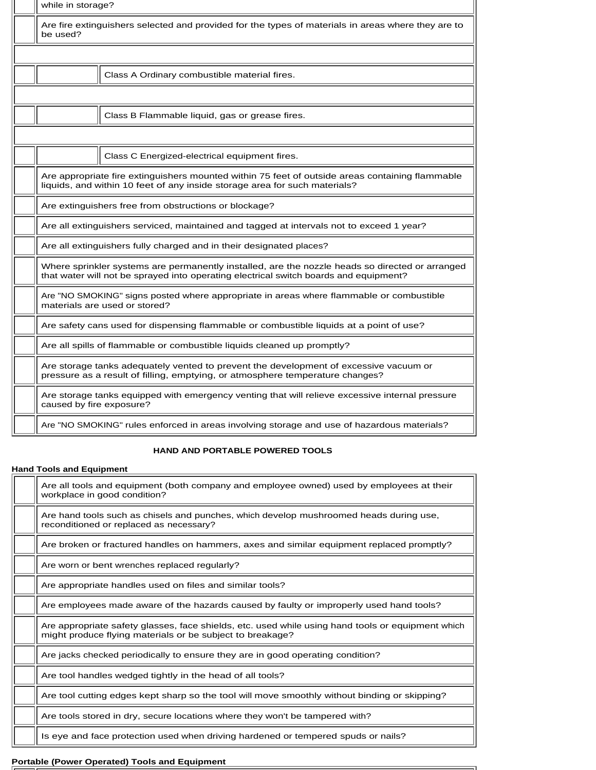| be used?<br>Class A Ordinary combustible material fires.<br>Class B Flammable liquid, gas or grease fires.<br>Class C Energized-electrical equipment fires.<br>Are appropriate fire extinguishers mounted within 75 feet of outside areas containing flammable<br>liquids, and within 10 feet of any inside storage area for such materials?<br>Are extinguishers free from obstructions or blockage?<br>Are all extinguishers serviced, maintained and tagged at intervals not to exceed 1 year?<br>Are all extinguishers fully charged and in their designated places?<br>that water will not be sprayed into operating electrical switch boards and equipment?<br>Are "NO SMOKING" signs posted where appropriate in areas where flammable or combustible<br>materials are used or stored?<br>Are safety cans used for dispensing flammable or combustible liquids at a point of use?<br>Are all spills of flammable or combustible liquids cleaned up promptly?<br>Are storage tanks adequately vented to prevent the development of excessive vacuum or<br>pressure as a result of filling, emptying, or atmosphere temperature changes?<br>Are storage tanks equipped with emergency venting that will relieve excessive internal pressure | while in storage?                                                                                  |
|--------------------------------------------------------------------------------------------------------------------------------------------------------------------------------------------------------------------------------------------------------------------------------------------------------------------------------------------------------------------------------------------------------------------------------------------------------------------------------------------------------------------------------------------------------------------------------------------------------------------------------------------------------------------------------------------------------------------------------------------------------------------------------------------------------------------------------------------------------------------------------------------------------------------------------------------------------------------------------------------------------------------------------------------------------------------------------------------------------------------------------------------------------------------------------------------------------------------------------------------------|----------------------------------------------------------------------------------------------------|
|                                                                                                                                                                                                                                                                                                                                                                                                                                                                                                                                                                                                                                                                                                                                                                                                                                                                                                                                                                                                                                                                                                                                                                                                                                                  | Are fire extinguishers selected and provided for the types of materials in areas where they are to |
|                                                                                                                                                                                                                                                                                                                                                                                                                                                                                                                                                                                                                                                                                                                                                                                                                                                                                                                                                                                                                                                                                                                                                                                                                                                  |                                                                                                    |
|                                                                                                                                                                                                                                                                                                                                                                                                                                                                                                                                                                                                                                                                                                                                                                                                                                                                                                                                                                                                                                                                                                                                                                                                                                                  |                                                                                                    |
|                                                                                                                                                                                                                                                                                                                                                                                                                                                                                                                                                                                                                                                                                                                                                                                                                                                                                                                                                                                                                                                                                                                                                                                                                                                  |                                                                                                    |
|                                                                                                                                                                                                                                                                                                                                                                                                                                                                                                                                                                                                                                                                                                                                                                                                                                                                                                                                                                                                                                                                                                                                                                                                                                                  |                                                                                                    |
|                                                                                                                                                                                                                                                                                                                                                                                                                                                                                                                                                                                                                                                                                                                                                                                                                                                                                                                                                                                                                                                                                                                                                                                                                                                  |                                                                                                    |
|                                                                                                                                                                                                                                                                                                                                                                                                                                                                                                                                                                                                                                                                                                                                                                                                                                                                                                                                                                                                                                                                                                                                                                                                                                                  |                                                                                                    |
|                                                                                                                                                                                                                                                                                                                                                                                                                                                                                                                                                                                                                                                                                                                                                                                                                                                                                                                                                                                                                                                                                                                                                                                                                                                  |                                                                                                    |
|                                                                                                                                                                                                                                                                                                                                                                                                                                                                                                                                                                                                                                                                                                                                                                                                                                                                                                                                                                                                                                                                                                                                                                                                                                                  |                                                                                                    |
|                                                                                                                                                                                                                                                                                                                                                                                                                                                                                                                                                                                                                                                                                                                                                                                                                                                                                                                                                                                                                                                                                                                                                                                                                                                  |                                                                                                    |
|                                                                                                                                                                                                                                                                                                                                                                                                                                                                                                                                                                                                                                                                                                                                                                                                                                                                                                                                                                                                                                                                                                                                                                                                                                                  |                                                                                                    |
|                                                                                                                                                                                                                                                                                                                                                                                                                                                                                                                                                                                                                                                                                                                                                                                                                                                                                                                                                                                                                                                                                                                                                                                                                                                  | Where sprinkler systems are permanently installed, are the nozzle heads so directed or arranged    |
|                                                                                                                                                                                                                                                                                                                                                                                                                                                                                                                                                                                                                                                                                                                                                                                                                                                                                                                                                                                                                                                                                                                                                                                                                                                  |                                                                                                    |
|                                                                                                                                                                                                                                                                                                                                                                                                                                                                                                                                                                                                                                                                                                                                                                                                                                                                                                                                                                                                                                                                                                                                                                                                                                                  |                                                                                                    |
|                                                                                                                                                                                                                                                                                                                                                                                                                                                                                                                                                                                                                                                                                                                                                                                                                                                                                                                                                                                                                                                                                                                                                                                                                                                  |                                                                                                    |
|                                                                                                                                                                                                                                                                                                                                                                                                                                                                                                                                                                                                                                                                                                                                                                                                                                                                                                                                                                                                                                                                                                                                                                                                                                                  |                                                                                                    |
|                                                                                                                                                                                                                                                                                                                                                                                                                                                                                                                                                                                                                                                                                                                                                                                                                                                                                                                                                                                                                                                                                                                                                                                                                                                  | caused by fire exposure?                                                                           |
| Are "NO SMOKING" rules enforced in areas involving storage and use of hazardous materials?                                                                                                                                                                                                                                                                                                                                                                                                                                                                                                                                                                                                                                                                                                                                                                                                                                                                                                                                                                                                                                                                                                                                                       |                                                                                                    |

# **Hand Tools and Equipment**

| Are all tools and equipment (both company and employee owned) used by employees at their<br>workplace in good condition?                                       |
|----------------------------------------------------------------------------------------------------------------------------------------------------------------|
| Are hand tools such as chisels and punches, which develop mushroomed heads during use,<br>reconditioned or replaced as necessary?                              |
| Are broken or fractured handles on hammers, axes and similar equipment replaced promptly?                                                                      |
| Are worn or bent wrenches replaced regularly?                                                                                                                  |
| Are appropriate handles used on files and similar tools?                                                                                                       |
| Are employees made aware of the hazards caused by faulty or improperly used hand tools?                                                                        |
| Are appropriate safety glasses, face shields, etc. used while using hand tools or equipment which<br>might produce flying materials or be subject to breakage? |
| Are jacks checked periodically to ensure they are in good operating condition?                                                                                 |
| Are tool handles wedged tightly in the head of all tools?                                                                                                      |
| Are tool cutting edges kept sharp so the tool will move smoothly without binding or skipping?                                                                  |
| Are tools stored in dry, secure locations where they won't be tampered with?                                                                                   |
| Is eye and face protection used when driving hardened or tempered spuds or nails?                                                                              |

# **Portable (Power Operated) Tools and Equipment**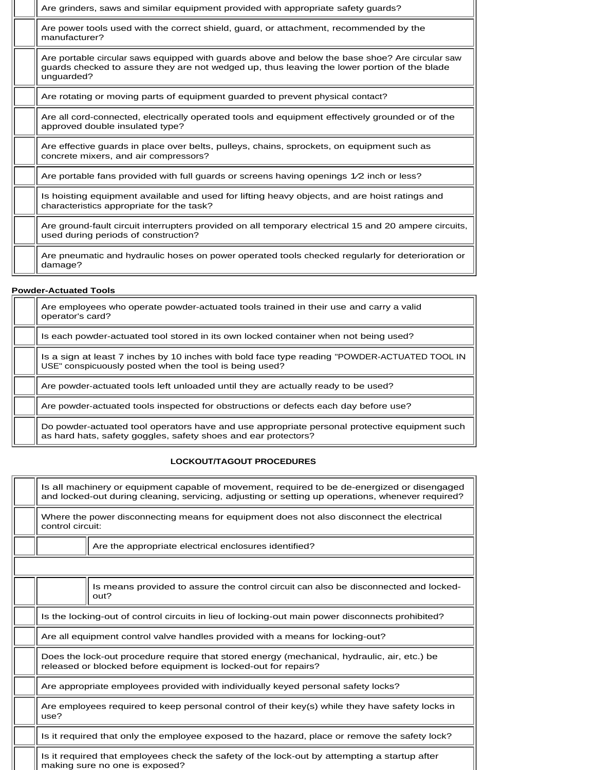Are grinders, saws and similar equipment provided with appropriate safety guards?

Are power tools used with the correct shield, guard, or attachment, recommended by the manufacturer?

Are portable circular saws equipped with guards above and below the base shoe? Are circular saw guards checked to assure they are not wedged up, thus leaving the lower portion of the blade unguarded?

Are rotating or moving parts of equipment guarded to prevent physical contact?

Are all cord-connected, electrically operated tools and equipment effectively grounded or of the approved double insulated type?

Are effective guards in place over belts, pulleys, chains, sprockets, on equipment such as concrete mixers, and air compressors?

Are portable fans provided with full guards or screens having openings 1/2 inch or less?

Is hoisting equipment available and used for lifting heavy objects, and are hoist ratings and characteristics appropriate for the task?

Are ground-fault circuit interrupters provided on all temporary electrical 15 and 20 ampere circuits, used during periods of construction?

Are pneumatic and hydraulic hoses on power operated tools checked regularly for deterioration or damage?

# **Powder-Actuated Tools**

╗

|  | Are employees who operate powder-actuated tools trained in their use and carry a valid<br>operator's card?                                                      |
|--|-----------------------------------------------------------------------------------------------------------------------------------------------------------------|
|  | Is each powder-actuated tool stored in its own locked container when not being used?                                                                            |
|  | Is a sign at least 7 inches by 10 inches with bold face type reading "POWDER-ACTUATED TOOL IN<br>USE" conspicuously posted when the tool is being used?         |
|  | Are powder-actuated tools left unloaded until they are actually ready to be used?                                                                               |
|  | Are powder-actuated tools inspected for obstructions or defects each day before use?                                                                            |
|  | Do powder-actuated tool operators have and use appropriate personal protective equipment such<br>as hard hats, safety goggles, safety shoes and ear protectors? |
|  |                                                                                                                                                                 |

# **LOCKOUT/TAGOUT PROCEDURES**

|                                                                                                                                | Is all machinery or equipment capable of movement, required to be de-energized or disengaged<br>and locked-out during cleaning, servicing, adjusting or setting up operations, whenever required? |  |  |
|--------------------------------------------------------------------------------------------------------------------------------|---------------------------------------------------------------------------------------------------------------------------------------------------------------------------------------------------|--|--|
| Where the power disconnecting means for equipment does not also disconnect the electrical<br>control circuit:                  |                                                                                                                                                                                                   |  |  |
|                                                                                                                                | Are the appropriate electrical enclosures identified?                                                                                                                                             |  |  |
|                                                                                                                                |                                                                                                                                                                                                   |  |  |
| Is means provided to assure the control circuit can also be disconnected and locked-<br>out?                                   |                                                                                                                                                                                                   |  |  |
|                                                                                                                                | Is the locking-out of control circuits in lieu of locking-out main power disconnects prohibited?                                                                                                  |  |  |
|                                                                                                                                | Are all equipment control valve handles provided with a means for locking-out?                                                                                                                    |  |  |
|                                                                                                                                | Does the lock-out procedure require that stored energy (mechanical, hydraulic, air, etc.) be<br>released or blocked before equipment is locked-out for repairs?                                   |  |  |
|                                                                                                                                | Are appropriate employees provided with individually keyed personal safety locks?                                                                                                                 |  |  |
| use?                                                                                                                           | Are employees required to keep personal control of their key(s) while they have safety locks in                                                                                                   |  |  |
|                                                                                                                                | Is it required that only the employee exposed to the hazard, place or remove the safety lock?                                                                                                     |  |  |
| Is it required that employees check the safety of the lock-out by attempting a startup after<br>making sure no one is exposed? |                                                                                                                                                                                                   |  |  |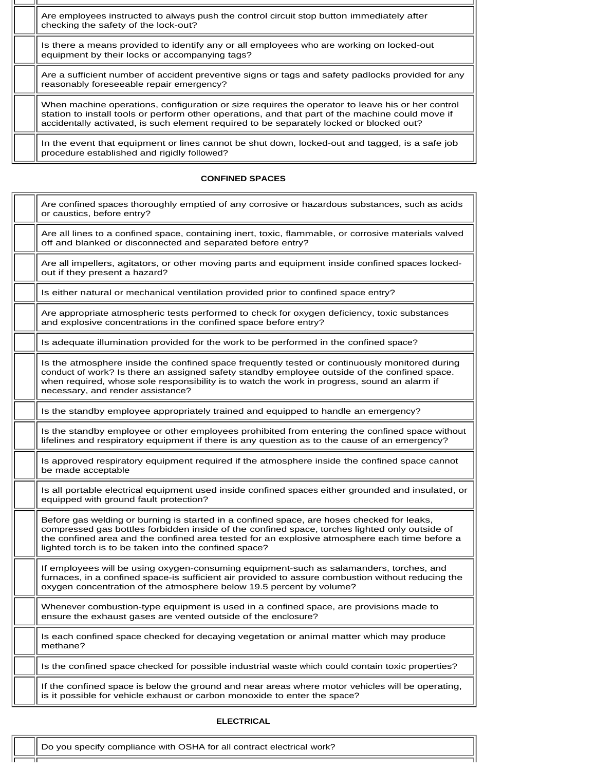Are employees instructed to always push the control circuit stop button immediately after checking the safety of the lock-out?

Is there a means provided to identify any or all employees who are working on locked-out equipment by their locks or accompanying tags?

Are a sufficient number of accident preventive signs or tags and safety padlocks provided for any reasonably foreseeable repair emergency?

When machine operations, configuration or size requires the operator to leave his or her control station to install tools or perform other operations, and that part of the machine could move if accidentally activated, is such element required to be separately locked or blocked out?

In the event that equipment or lines cannot be shut down, locked-out and tagged, is a safe job procedure established and rigidly followed?

#### **CONFINED SPACES**

 $\overline{\mathbf{u}}$ 

ᅲ

۱F

| Are confined spaces thoroughly emptied of any corrosive or hazardous substances, such as acids<br>or caustics, before entry?                                                                                                                                                                                                                           |
|--------------------------------------------------------------------------------------------------------------------------------------------------------------------------------------------------------------------------------------------------------------------------------------------------------------------------------------------------------|
| Are all lines to a confined space, containing inert, toxic, flammable, or corrosive materials valved<br>off and blanked or disconnected and separated before entry?                                                                                                                                                                                    |
| Are all impellers, agitators, or other moving parts and equipment inside confined spaces locked-<br>out if they present a hazard?                                                                                                                                                                                                                      |
| Is either natural or mechanical ventilation provided prior to confined space entry?                                                                                                                                                                                                                                                                    |
| Are appropriate atmospheric tests performed to check for oxygen deficiency, toxic substances<br>and explosive concentrations in the confined space before entry?                                                                                                                                                                                       |
| Is adequate illumination provided for the work to be performed in the confined space?                                                                                                                                                                                                                                                                  |
| Is the atmosphere inside the confined space frequently tested or continuously monitored during<br>conduct of work? Is there an assigned safety standby employee outside of the confined space.<br>when required, whose sole responsibility is to watch the work in progress, sound an alarm if<br>necessary, and render assistance?                    |
| Is the standby employee appropriately trained and equipped to handle an emergency?                                                                                                                                                                                                                                                                     |
| Is the standby employee or other employees prohibited from entering the confined space without<br>lifelines and respiratory equipment if there is any question as to the cause of an emergency?                                                                                                                                                        |
| Is approved respiratory equipment required if the atmosphere inside the confined space cannot<br>be made acceptable                                                                                                                                                                                                                                    |
| Is all portable electrical equipment used inside confined spaces either grounded and insulated, or<br>equipped with ground fault protection?                                                                                                                                                                                                           |
| Before gas welding or burning is started in a confined space, are hoses checked for leaks,<br>compressed gas bottles forbidden inside of the confined space, torches lighted only outside of<br>the confined area and the confined area tested for an explosive atmosphere each time before a<br>lighted torch is to be taken into the confined space? |
| If employees will be using oxygen-consuming equipment-such as salamanders, torches, and<br>furnaces, in a confined space-is sufficient air provided to assure combustion without reducing the<br>oxygen concentration of the atmosphere below 19.5 percent by volume?                                                                                  |
| Whenever combustion-type equipment is used in a confined space, are provisions made to<br>ensure the exhaust gases are vented outside of the enclosure?                                                                                                                                                                                                |
| Is each confined space checked for decaying vegetation or animal matter which may produce<br>methane?                                                                                                                                                                                                                                                  |
| Is the confined space checked for possible industrial waste which could contain toxic properties?                                                                                                                                                                                                                                                      |
| If the confined space is below the ground and near areas where motor vehicles will be operating,<br>is it possible for vehicle exhaust or carbon monoxide to enter the space?                                                                                                                                                                          |

#### **ELECTRICAL**

|  |  | Do you specify compliance with OSHA for all contract electrical work? |
|--|--|-----------------------------------------------------------------------|
|  |  |                                                                       |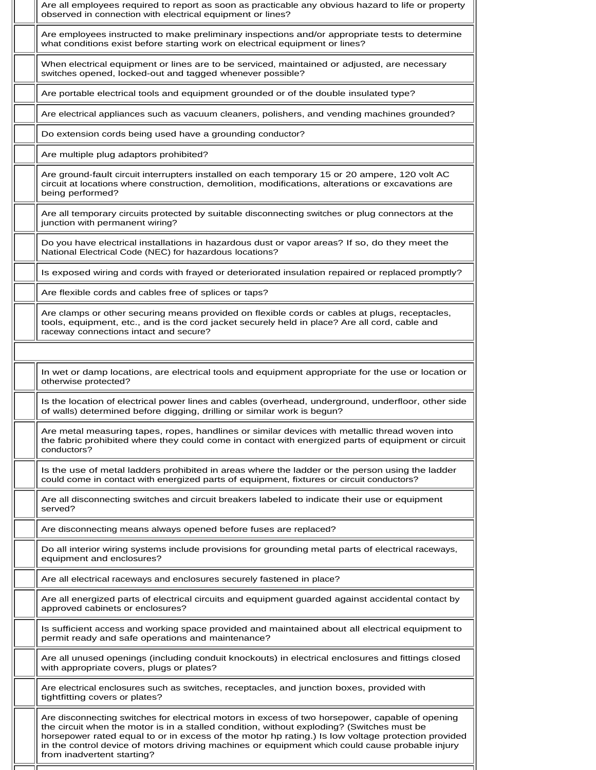| Are all employees required to report as soon as practicable any obvious hazard to life or property<br>observed in connection with electrical equipment or lines?                                                                                                                                                                                                                                                                      |
|---------------------------------------------------------------------------------------------------------------------------------------------------------------------------------------------------------------------------------------------------------------------------------------------------------------------------------------------------------------------------------------------------------------------------------------|
| Are employees instructed to make preliminary inspections and/or appropriate tests to determine<br>what conditions exist before starting work on electrical equipment or lines?                                                                                                                                                                                                                                                        |
| When electrical equipment or lines are to be serviced, maintained or adjusted, are necessary<br>switches opened, locked-out and tagged whenever possible?                                                                                                                                                                                                                                                                             |
| Are portable electrical tools and equipment grounded or of the double insulated type?                                                                                                                                                                                                                                                                                                                                                 |
| Are electrical appliances such as vacuum cleaners, polishers, and vending machines grounded?                                                                                                                                                                                                                                                                                                                                          |
| Do extension cords being used have a grounding conductor?                                                                                                                                                                                                                                                                                                                                                                             |
| Are multiple plug adaptors prohibited?                                                                                                                                                                                                                                                                                                                                                                                                |
| Are ground-fault circuit interrupters installed on each temporary 15 or 20 ampere, 120 volt AC<br>circuit at locations where construction, demolition, modifications, alterations or excavations are<br>being performed?                                                                                                                                                                                                              |
| Are all temporary circuits protected by suitable disconnecting switches or plug connectors at the<br>junction with permanent wiring?                                                                                                                                                                                                                                                                                                  |
| Do you have electrical installations in hazardous dust or vapor areas? If so, do they meet the<br>National Electrical Code (NEC) for hazardous locations?                                                                                                                                                                                                                                                                             |
| Is exposed wiring and cords with frayed or deteriorated insulation repaired or replaced promptly?                                                                                                                                                                                                                                                                                                                                     |
| Are flexible cords and cables free of splices or taps?                                                                                                                                                                                                                                                                                                                                                                                |
| Are clamps or other securing means provided on flexible cords or cables at plugs, receptacles,<br>tools, equipment, etc., and is the cord jacket securely held in place? Are all cord, cable and<br>raceway connections intact and secure?                                                                                                                                                                                            |
|                                                                                                                                                                                                                                                                                                                                                                                                                                       |
| In wet or damp locations, are electrical tools and equipment appropriate for the use or location or<br>otherwise protected?                                                                                                                                                                                                                                                                                                           |
| Is the location of electrical power lines and cables (overhead, underground, underfloor, other side<br>of walls) determined before digging, drilling or similar work is begun?                                                                                                                                                                                                                                                        |
| Are metal measuring tapes, ropes, handlines or similar devices with metallic thread woven into<br>the fabric prohibited where they could come in contact with energized parts of equipment or circuit<br>conductors?                                                                                                                                                                                                                  |
| Is the use of metal ladders prohibited in areas where the ladder or the person using the ladder<br>could come in contact with energized parts of equipment, fixtures or circuit conductors?                                                                                                                                                                                                                                           |
| Are all disconnecting switches and circuit breakers labeled to indicate their use or equipment<br>served?                                                                                                                                                                                                                                                                                                                             |
| Are disconnecting means always opened before fuses are replaced?                                                                                                                                                                                                                                                                                                                                                                      |
| Do all interior wiring systems include provisions for grounding metal parts of electrical raceways,<br>equipment and enclosures?                                                                                                                                                                                                                                                                                                      |
| Are all electrical raceways and enclosures securely fastened in place?                                                                                                                                                                                                                                                                                                                                                                |
| Are all energized parts of electrical circuits and equipment guarded against accidental contact by<br>approved cabinets or enclosures?                                                                                                                                                                                                                                                                                                |
| Is sufficient access and working space provided and maintained about all electrical equipment to<br>permit ready and safe operations and maintenance?                                                                                                                                                                                                                                                                                 |
| Are all unused openings (including conduit knockouts) in electrical enclosures and fittings closed<br>with appropriate covers, plugs or plates?                                                                                                                                                                                                                                                                                       |
| Are electrical enclosures such as switches, receptacles, and junction boxes, provided with<br>tightfitting covers or plates?                                                                                                                                                                                                                                                                                                          |
| Are disconnecting switches for electrical motors in excess of two horsepower, capable of opening<br>the circuit when the motor is in a stalled condition, without exploding? (Switches must be<br>horsepower rated equal to or in excess of the motor hp rating.) Is low voltage protection provided<br>in the control device of motors driving machines or equipment which could cause probable injury<br>from inadvertent starting? |
|                                                                                                                                                                                                                                                                                                                                                                                                                                       |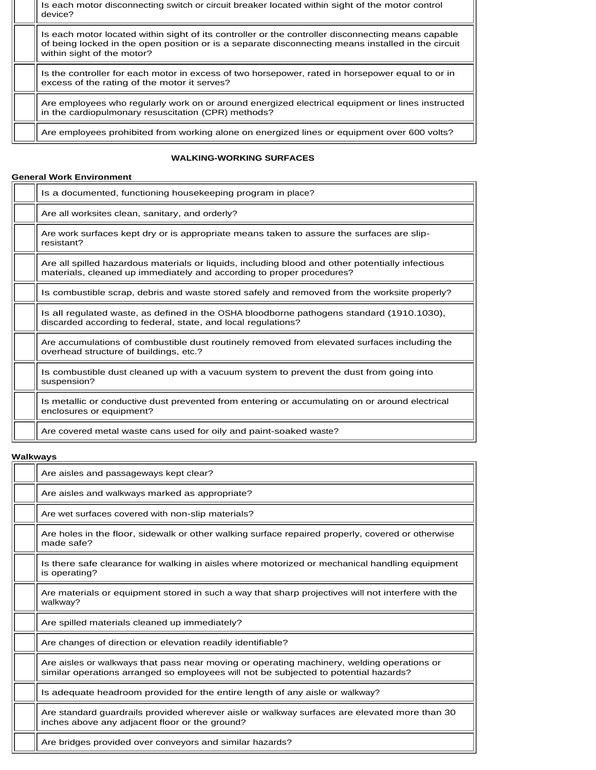Is each motor disconnecting switch or circuit breaker located within sight of the motor control device?

Is each motor located within sight of its controller or the controller disconnecting means capable of being locked in the open position or is a separate disconnecting means installed in the circuit within sight of the motor?

Is the controller for each motor in excess of two horsepower, rated in horsepower equal to or in excess of the rating of the motor it serves?

Are employees who regularly work on or around energized electrical equipment or lines instructed in the cardiopulmonary resuscitation (CPR) methods?

Are employees prohibited from working alone on energized lines or equipment over 600 volts?

# **WALKING-WORKING SURFACES**

#### **General Work Environment**

|  | Is a documented, functioning housekeeping program in place?                                                                                                               |
|--|---------------------------------------------------------------------------------------------------------------------------------------------------------------------------|
|  | Are all worksites clean, sanitary, and orderly?                                                                                                                           |
|  | Are work surfaces kept dry or is appropriate means taken to assure the surfaces are slip-<br>resistant?                                                                   |
|  | Are all spilled hazardous materials or liquids, including blood and other potentially infectious<br>materials, cleaned up immediately and according to proper procedures? |
|  | Is combustible scrap, debris and waste stored safely and removed from the worksite properly?                                                                              |
|  | Is all regulated waste, as defined in the OSHA bloodborne pathogens standard (1910.1030),<br>discarded according to federal, state, and local regulations?                |
|  | Are accumulations of combustible dust routinely removed from elevated surfaces including the<br>overhead structure of buildings, etc.?                                    |
|  | Is combustible dust cleaned up with a vacuum system to prevent the dust from going into<br>suspension?                                                                    |
|  | Is metallic or conductive dust prevented from entering or accumulating on or around electrical<br>enclosures or equipment?                                                |
|  | Are covered metal waste cans used for oily and paint-soaked waste?                                                                                                        |

#### **Walkways**

| Are aisles and passageways kept clear?                                                                                                                                             |
|------------------------------------------------------------------------------------------------------------------------------------------------------------------------------------|
| Are aisles and walkways marked as appropriate?                                                                                                                                     |
| Are wet surfaces covered with non-slip materials?                                                                                                                                  |
| Are holes in the floor, sidewalk or other walking surface repaired properly, covered or otherwise<br>made safe?                                                                    |
| Is there safe clearance for walking in aisles where motorized or mechanical handling equipment<br>is operating?                                                                    |
| Are materials or equipment stored in such a way that sharp projectives will not interfere with the<br>walkway?                                                                     |
| Are spilled materials cleaned up immediately?                                                                                                                                      |
| Are changes of direction or elevation readily identifiable?                                                                                                                        |
| Are aisles or walkways that pass near moving or operating machinery, welding operations or<br>similar operations arranged so employees will not be subjected to potential hazards? |
| Is adequate headroom provided for the entire length of any aisle or walkway?                                                                                                       |
| Are standard guardrails provided wherever aisle or walkway surfaces are elevated more than 30<br>inches above any adjacent floor or the ground?                                    |
| Are bridges provided over conveyors and similar hazards?                                                                                                                           |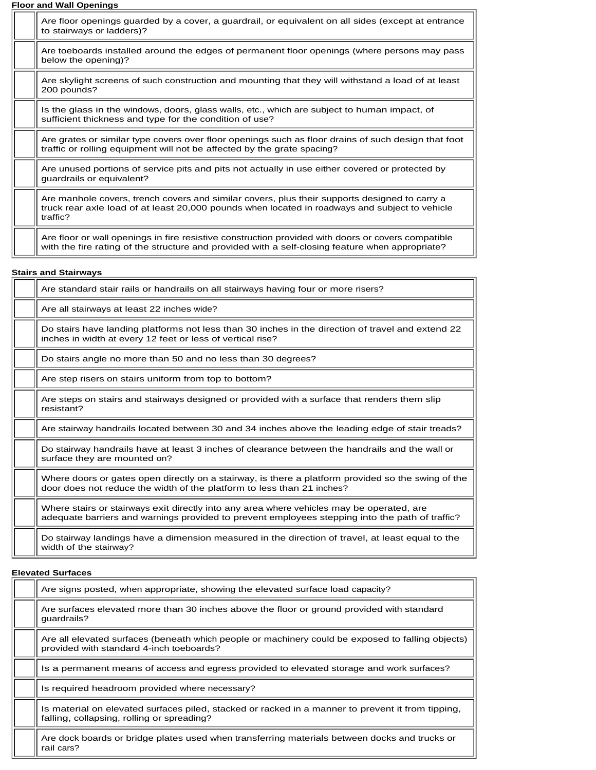# **Floor and Wall Openings**

| Are floor openings guarded by a cover, a guardrail, or equivalent on all sides (except at entrance<br>to stairways or ladders)?                                                                             |
|-------------------------------------------------------------------------------------------------------------------------------------------------------------------------------------------------------------|
| Are toeboards installed around the edges of permanent floor openings (where persons may pass<br>below the opening)?                                                                                         |
| Are skylight screens of such construction and mounting that they will withstand a load of at least<br>200 pounds?                                                                                           |
| Is the glass in the windows, doors, glass walls, etc., which are subject to human impact, of<br>sufficient thickness and type for the condition of use?                                                     |
| Are grates or similar type covers over floor openings such as floor drains of such design that foot<br>traffic or rolling equipment will not be affected by the grate spacing?                              |
| Are unused portions of service pits and pits not actually in use either covered or protected by<br>guardrails or equivalent?                                                                                |
| Are manhole covers, trench covers and similar covers, plus their supports designed to carry a<br>truck rear axle load of at least 20,000 pounds when located in roadways and subject to vehicle<br>traffic? |
| Are floor or wall openings in fire resistive construction provided with doors or covers compatible<br>with the fire rating of the structure and provided with a self-closing feature when appropriate?      |

# **Stairs and Stairways**

| Are standard stair rails or handrails on all stairways having four or more risers?                                                                                                           |  |  |
|----------------------------------------------------------------------------------------------------------------------------------------------------------------------------------------------|--|--|
| Are all stairways at least 22 inches wide?                                                                                                                                                   |  |  |
| Do stairs have landing platforms not less than 30 inches in the direction of travel and extend 22<br>inches in width at every 12 feet or less of vertical rise?                              |  |  |
| Do stairs angle no more than 50 and no less than 30 degrees?                                                                                                                                 |  |  |
| Are step risers on stairs uniform from top to bottom?                                                                                                                                        |  |  |
| Are steps on stairs and stairways designed or provided with a surface that renders them slip<br>resistant?                                                                                   |  |  |
| Are stairway handrails located between 30 and 34 inches above the leading edge of stair treads?                                                                                              |  |  |
| Do stairway handrails have at least 3 inches of clearance between the handrails and the wall or<br>surface they are mounted on?                                                              |  |  |
| Where doors or gates open directly on a stairway, is there a platform provided so the swing of the<br>door does not reduce the width of the platform to less than 21 inches?                 |  |  |
| Where stairs or stairways exit directly into any area where vehicles may be operated, are<br>adequate barriers and warnings provided to prevent employees stepping into the path of traffic? |  |  |
| Do stairway landings have a dimension measured in the direction of travel, at least equal to the<br>width of the stairway?                                                                   |  |  |

# **Elevated Surfaces**

| Are signs posted, when appropriate, showing the elevated surface load capacity?                                                                 |
|-------------------------------------------------------------------------------------------------------------------------------------------------|
| Are surfaces elevated more than 30 inches above the floor or ground provided with standard<br>guardrails?                                       |
| Are all elevated surfaces (beneath which people or machinery could be exposed to falling objects)<br>provided with standard 4-inch toeboards?   |
| Is a permanent means of access and egress provided to elevated storage and work surfaces?                                                       |
| Is required headroom provided where necessary?                                                                                                  |
| Is material on elevated surfaces piled, stacked or racked in a manner to prevent it from tipping,<br>falling, collapsing, rolling or spreading? |
| Are dock boards or bridge plates used when transferring materials between docks and trucks or<br>rail cars?                                     |